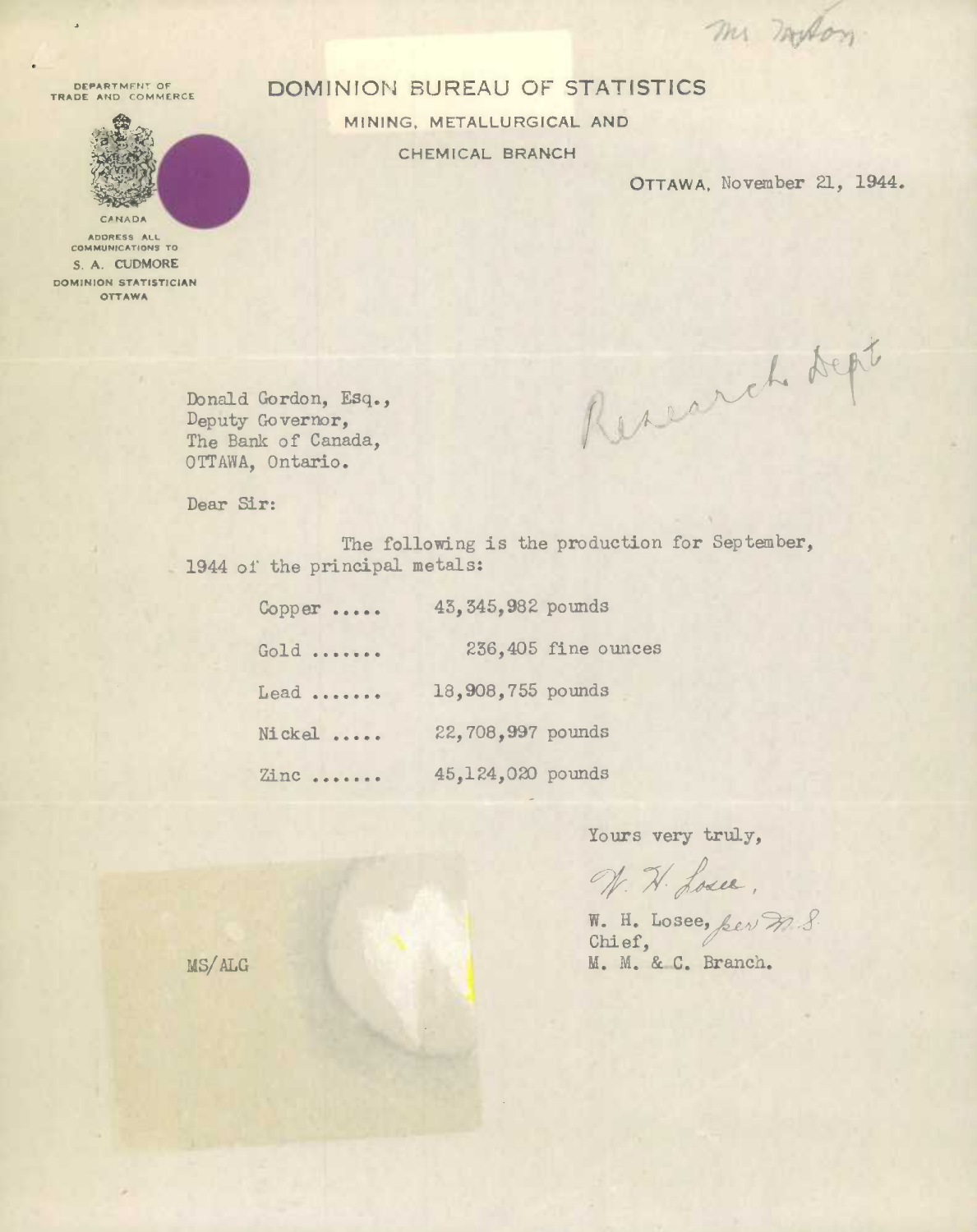m motor

**DEPARTMENT OF BEARTMENT OF** 



**ADDRESS ALL COMMUNICATêON5 TO S. A. CUDMORE DOMINION STATISTICIAN OTTAWA** 

## DOMIN!ON BUREAU OF STATISTICS

MINING, METALLURGICAL AND CHEMICAL BRANCH

OTTAWA, November 21, 1944.

Reserch dept

lbnald Gordon, Esq., Deputy Governor, The Bank of Canada, OTTAWA, Ontario.

Dear Sir:

The following is the production for September, 1944 of the principal metals:

| $Copper$ | 43, 345, 982 pounds |                     |
|----------|---------------------|---------------------|
| Gold     |                     | 236,405 fine ounces |
| $Lead$   | 18,908,755 pounds   |                     |
| Nickel   | 22,708,997 pounds   |                     |
| Zinc     | 45,124,020 pounds   |                     |

Yours very truly,

N. H. Losee,

Chief, **M. M.** & C. Branch.

MS/ALG